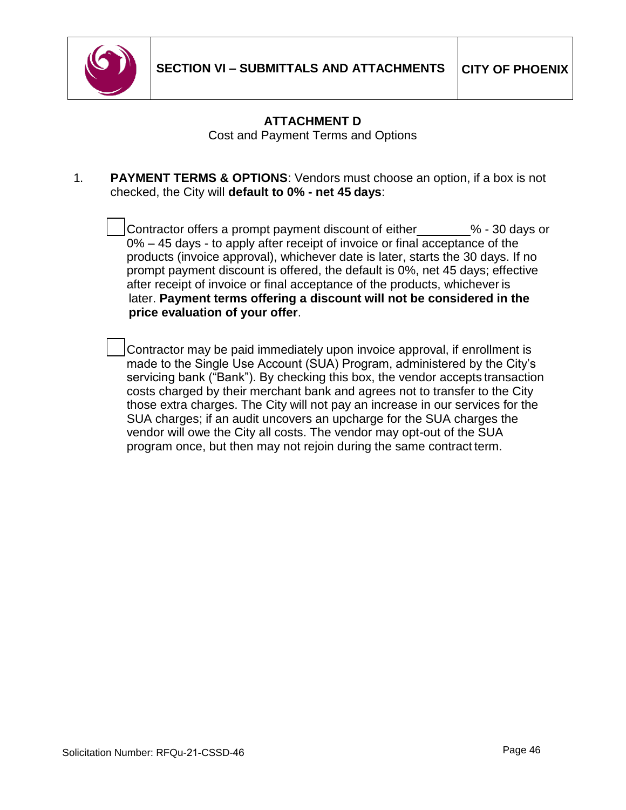

## **ATTACHMENT D**

Cost and Payment Terms and Options

1. **PAYMENT TERMS & OPTIONS**: Vendors must choose an option, if a box is not checked, the City will **default to 0% - net 45 days**:

> Contractor offers a prompt payment discount of either % - <sup>30</sup> days or 0% – 45 days - to apply after receipt of invoice or final acceptance of the products (invoice approval), whichever date is later, starts the 30 days. If no prompt payment discount is offered, the default is 0%, net 45 days; effective after receipt of invoice or final acceptance of the products, whichever is later. **Payment terms offering a discount will not be considered in the price evaluation of your offer**.

 Contractor may be paid immediately upon invoice approval, if enrollment is made to the Single Use Account (SUA) Program, administered by the City's servicing bank ("Bank"). By checking this box, the vendor accepts transaction costs charged by their merchant bank and agrees not to transfer to the City those extra charges. The City will not pay an increase in our services for the SUA charges; if an audit uncovers an upcharge for the SUA charges the vendor will owe the City all costs. The vendor may opt-out of the SUA program once, but then may not rejoin during the same contract term.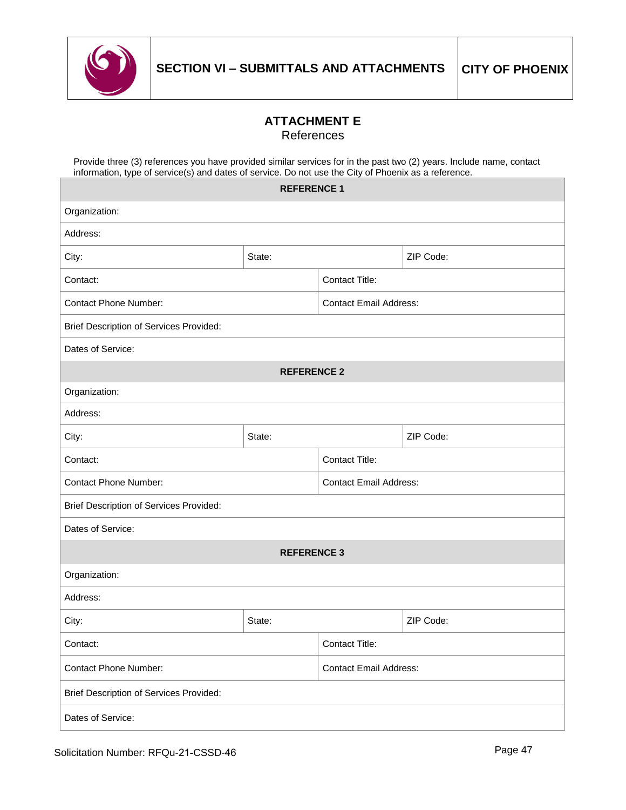

### **ATTACHMENT E** References

Provide three (3) references you have provided similar services for in the past two (2) years. Include name, contact information, type of service(s) and dates of service. Do not use the City of Phoenix as a reference.

|                                                | <b>REFERENCE 1</b> |                               |                |  |
|------------------------------------------------|--------------------|-------------------------------|----------------|--|
| Organization:                                  |                    |                               |                |  |
| Address:                                       |                    |                               |                |  |
| City:                                          | State:             |                               | ZIP Code:      |  |
| Contact:                                       |                    | <b>Contact Title:</b>         |                |  |
| <b>Contact Phone Number:</b>                   |                    | <b>Contact Email Address:</b> |                |  |
| <b>Brief Description of Services Provided:</b> |                    |                               |                |  |
| Dates of Service:                              |                    |                               |                |  |
| <b>REFERENCE 2</b>                             |                    |                               |                |  |
| Organization:                                  |                    |                               |                |  |
| Address:                                       |                    |                               |                |  |
| City:                                          | State:             |                               | ZIP Code:      |  |
| Contact:                                       |                    | Contact Title:                |                |  |
| <b>Contact Phone Number:</b>                   |                    | <b>Contact Email Address:</b> |                |  |
| <b>Brief Description of Services Provided:</b> |                    |                               |                |  |
| Dates of Service:                              |                    |                               |                |  |
|                                                | <b>REFERENCE 3</b> |                               |                |  |
| Organization:                                  |                    |                               |                |  |
| Address:                                       |                    |                               |                |  |
| City:                                          | State:             |                               | ZIP Code:      |  |
| Contact:                                       |                    |                               | Contact Title: |  |
| <b>Contact Phone Number:</b>                   |                    | <b>Contact Email Address:</b> |                |  |
| <b>Brief Description of Services Provided:</b> |                    |                               |                |  |
| Dates of Service:                              |                    |                               |                |  |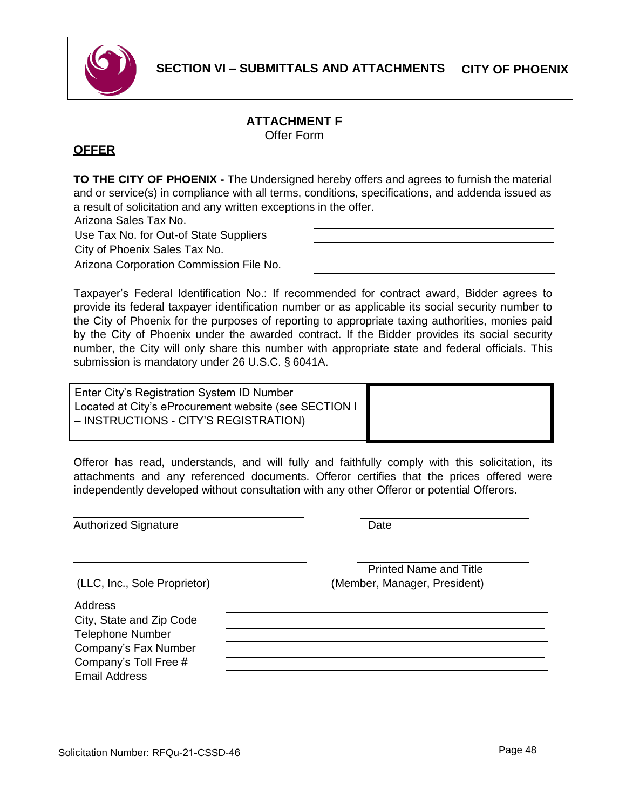

#### **ATTACHMENT F** Offer Form

### **OFFER**

**TO THE CITY OF PHOENIX -** The Undersigned hereby offers and agrees to furnish the material and or service(s) in compliance with all terms, conditions, specifications, and addenda issued as a result of solicitation and any written exceptions in the offer.

Arizona Sales Tax No.

Use Tax No. for Out-of State Suppliers City of Phoenix Sales Tax No.

Arizona Corporation Commission File No.

Taxpayer's Federal Identification No.: If recommended for contract award, Bidder agrees to provide its federal taxpayer identification number or as applicable its social security number to the City of Phoenix for the purposes of reporting to appropriate taxing authorities, monies paid by the City of Phoenix under the awarded contract. If the Bidder provides its social security number, the City will only share this number with appropriate state and federal officials. This submission is mandatory under 26 U.S.C. § 6041A.

Enter City's Registration System ID Number Located at City's eProcurement website (see SECTION I – INSTRUCTIONS - CITY'S REGISTRATION)

Offeror has read, understands, and will fully and faithfully comply with this solicitation, its attachments and any referenced documents. Offeror certifies that the prices offered were independently developed without consultation with any other Offeror or potential Offerors.

Authorized Signature **Date** Date

| (LLC, Inc., Sole Proprietor) |  |
|------------------------------|--|

Address City, State and Zip Code Telephone Number Company's Fax Number Company's Toll Free # Email Address

Printed Name and Title (Member, Manager, President)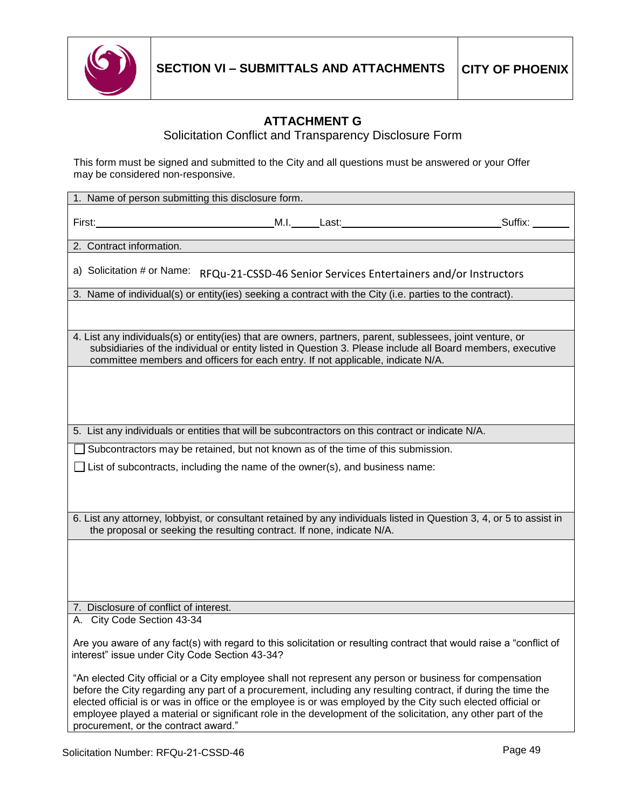

## **ATTACHMENT G**

Solicitation Conflict and Transparency Disclosure Form

This form must be signed and submitted to the City and all questions must be answered or your Offer may be considered non-responsive.

| Suffix:<br>First:<br>2. Contract information.<br>a) Solicitation # or Name:<br>RFQu-21-CSSD-46 Senior Services Entertainers and/or Instructors<br>3. Name of individual(s) or entity(ies) seeking a contract with the City (i.e. parties to the contract).<br>4. List any individuals(s) or entity(ies) that are owners, partners, parent, sublessees, joint venture, or<br>subsidiaries of the individual or entity listed in Question 3. Please include all Board members, executive<br>committee members and officers for each entry. If not applicable, indicate N/A.<br>5. List any individuals or entities that will be subcontractors on this contract or indicate N/A.<br>Subcontractors may be retained, but not known as of the time of this submission.<br>$\Box$ List of subcontracts, including the name of the owner(s), and business name:<br>6. List any attorney, lobbyist, or consultant retained by any individuals listed in Question 3, 4, or 5 to assist in<br>the proposal or seeking the resulting contract. If none, indicate N/A.<br>7. Disclosure of conflict of interest.<br>A. City Code Section 43-34<br>Are you aware of any fact(s) with regard to this solicitation or resulting contract that would raise a "conflict of<br>interest" issue under City Code Section 43-34?<br>"An elected City official or a City employee shall not represent any person or business for compensation<br>before the City regarding any part of a procurement, including any resulting contract, if during the time the<br>elected official is or was in office or the employee is or was employed by the City such elected official or<br>employee played a material or significant role in the development of the solicitation, any other part of the<br>procurement, or the contract award." | 1. Name of person submitting this disclosure form. |  |  |
|-------------------------------------------------------------------------------------------------------------------------------------------------------------------------------------------------------------------------------------------------------------------------------------------------------------------------------------------------------------------------------------------------------------------------------------------------------------------------------------------------------------------------------------------------------------------------------------------------------------------------------------------------------------------------------------------------------------------------------------------------------------------------------------------------------------------------------------------------------------------------------------------------------------------------------------------------------------------------------------------------------------------------------------------------------------------------------------------------------------------------------------------------------------------------------------------------------------------------------------------------------------------------------------------------------------------------------------------------------------------------------------------------------------------------------------------------------------------------------------------------------------------------------------------------------------------------------------------------------------------------------------------------------------------------------------------------------------------------------------------------------------------------------------------------------------------|----------------------------------------------------|--|--|
|                                                                                                                                                                                                                                                                                                                                                                                                                                                                                                                                                                                                                                                                                                                                                                                                                                                                                                                                                                                                                                                                                                                                                                                                                                                                                                                                                                                                                                                                                                                                                                                                                                                                                                                                                                                                                   |                                                    |  |  |
|                                                                                                                                                                                                                                                                                                                                                                                                                                                                                                                                                                                                                                                                                                                                                                                                                                                                                                                                                                                                                                                                                                                                                                                                                                                                                                                                                                                                                                                                                                                                                                                                                                                                                                                                                                                                                   |                                                    |  |  |
|                                                                                                                                                                                                                                                                                                                                                                                                                                                                                                                                                                                                                                                                                                                                                                                                                                                                                                                                                                                                                                                                                                                                                                                                                                                                                                                                                                                                                                                                                                                                                                                                                                                                                                                                                                                                                   |                                                    |  |  |
|                                                                                                                                                                                                                                                                                                                                                                                                                                                                                                                                                                                                                                                                                                                                                                                                                                                                                                                                                                                                                                                                                                                                                                                                                                                                                                                                                                                                                                                                                                                                                                                                                                                                                                                                                                                                                   |                                                    |  |  |
|                                                                                                                                                                                                                                                                                                                                                                                                                                                                                                                                                                                                                                                                                                                                                                                                                                                                                                                                                                                                                                                                                                                                                                                                                                                                                                                                                                                                                                                                                                                                                                                                                                                                                                                                                                                                                   |                                                    |  |  |
|                                                                                                                                                                                                                                                                                                                                                                                                                                                                                                                                                                                                                                                                                                                                                                                                                                                                                                                                                                                                                                                                                                                                                                                                                                                                                                                                                                                                                                                                                                                                                                                                                                                                                                                                                                                                                   |                                                    |  |  |
|                                                                                                                                                                                                                                                                                                                                                                                                                                                                                                                                                                                                                                                                                                                                                                                                                                                                                                                                                                                                                                                                                                                                                                                                                                                                                                                                                                                                                                                                                                                                                                                                                                                                                                                                                                                                                   |                                                    |  |  |
|                                                                                                                                                                                                                                                                                                                                                                                                                                                                                                                                                                                                                                                                                                                                                                                                                                                                                                                                                                                                                                                                                                                                                                                                                                                                                                                                                                                                                                                                                                                                                                                                                                                                                                                                                                                                                   |                                                    |  |  |
|                                                                                                                                                                                                                                                                                                                                                                                                                                                                                                                                                                                                                                                                                                                                                                                                                                                                                                                                                                                                                                                                                                                                                                                                                                                                                                                                                                                                                                                                                                                                                                                                                                                                                                                                                                                                                   |                                                    |  |  |
|                                                                                                                                                                                                                                                                                                                                                                                                                                                                                                                                                                                                                                                                                                                                                                                                                                                                                                                                                                                                                                                                                                                                                                                                                                                                                                                                                                                                                                                                                                                                                                                                                                                                                                                                                                                                                   |                                                    |  |  |
|                                                                                                                                                                                                                                                                                                                                                                                                                                                                                                                                                                                                                                                                                                                                                                                                                                                                                                                                                                                                                                                                                                                                                                                                                                                                                                                                                                                                                                                                                                                                                                                                                                                                                                                                                                                                                   |                                                    |  |  |
|                                                                                                                                                                                                                                                                                                                                                                                                                                                                                                                                                                                                                                                                                                                                                                                                                                                                                                                                                                                                                                                                                                                                                                                                                                                                                                                                                                                                                                                                                                                                                                                                                                                                                                                                                                                                                   |                                                    |  |  |
|                                                                                                                                                                                                                                                                                                                                                                                                                                                                                                                                                                                                                                                                                                                                                                                                                                                                                                                                                                                                                                                                                                                                                                                                                                                                                                                                                                                                                                                                                                                                                                                                                                                                                                                                                                                                                   |                                                    |  |  |
|                                                                                                                                                                                                                                                                                                                                                                                                                                                                                                                                                                                                                                                                                                                                                                                                                                                                                                                                                                                                                                                                                                                                                                                                                                                                                                                                                                                                                                                                                                                                                                                                                                                                                                                                                                                                                   |                                                    |  |  |
|                                                                                                                                                                                                                                                                                                                                                                                                                                                                                                                                                                                                                                                                                                                                                                                                                                                                                                                                                                                                                                                                                                                                                                                                                                                                                                                                                                                                                                                                                                                                                                                                                                                                                                                                                                                                                   |                                                    |  |  |
|                                                                                                                                                                                                                                                                                                                                                                                                                                                                                                                                                                                                                                                                                                                                                                                                                                                                                                                                                                                                                                                                                                                                                                                                                                                                                                                                                                                                                                                                                                                                                                                                                                                                                                                                                                                                                   |                                                    |  |  |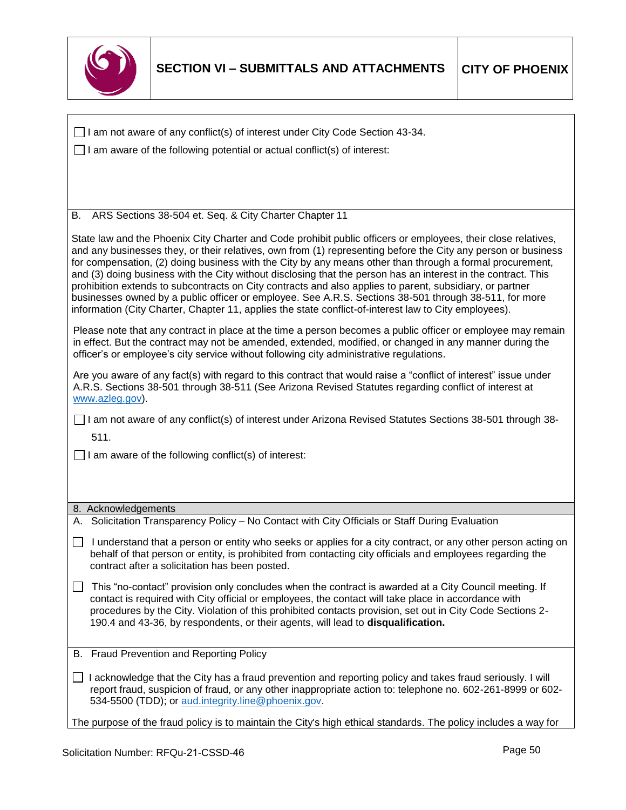

| $\Box$ I am not aware of any conflict(s) of interest under City Code Section 43-34.                                                                                                                                                                                                                                                                                                                                                                                                                                                                                                                                                                                                                                                                                                       |  |  |
|-------------------------------------------------------------------------------------------------------------------------------------------------------------------------------------------------------------------------------------------------------------------------------------------------------------------------------------------------------------------------------------------------------------------------------------------------------------------------------------------------------------------------------------------------------------------------------------------------------------------------------------------------------------------------------------------------------------------------------------------------------------------------------------------|--|--|
| I am aware of the following potential or actual conflict(s) of interest:                                                                                                                                                                                                                                                                                                                                                                                                                                                                                                                                                                                                                                                                                                                  |  |  |
|                                                                                                                                                                                                                                                                                                                                                                                                                                                                                                                                                                                                                                                                                                                                                                                           |  |  |
|                                                                                                                                                                                                                                                                                                                                                                                                                                                                                                                                                                                                                                                                                                                                                                                           |  |  |
|                                                                                                                                                                                                                                                                                                                                                                                                                                                                                                                                                                                                                                                                                                                                                                                           |  |  |
| ARS Sections 38-504 et. Seq. & City Charter Chapter 11<br>В.                                                                                                                                                                                                                                                                                                                                                                                                                                                                                                                                                                                                                                                                                                                              |  |  |
| State law and the Phoenix City Charter and Code prohibit public officers or employees, their close relatives,<br>and any businesses they, or their relatives, own from (1) representing before the City any person or business<br>for compensation, (2) doing business with the City by any means other than through a formal procurement,<br>and (3) doing business with the City without disclosing that the person has an interest in the contract. This<br>prohibition extends to subcontracts on City contracts and also applies to parent, subsidiary, or partner<br>businesses owned by a public officer or employee. See A.R.S. Sections 38-501 through 38-511, for more<br>information (City Charter, Chapter 11, applies the state conflict-of-interest law to City employees). |  |  |
| Please note that any contract in place at the time a person becomes a public officer or employee may remain<br>in effect. But the contract may not be amended, extended, modified, or changed in any manner during the<br>officer's or employee's city service without following city administrative regulations.                                                                                                                                                                                                                                                                                                                                                                                                                                                                         |  |  |
| Are you aware of any fact(s) with regard to this contract that would raise a "conflict of interest" issue under<br>A.R.S. Sections 38-501 through 38-511 (See Arizona Revised Statutes regarding conflict of interest at<br>www.azleg.gov).                                                                                                                                                                                                                                                                                                                                                                                                                                                                                                                                               |  |  |
| I am not aware of any conflict(s) of interest under Arizona Revised Statutes Sections 38-501 through 38-                                                                                                                                                                                                                                                                                                                                                                                                                                                                                                                                                                                                                                                                                  |  |  |
| 511.                                                                                                                                                                                                                                                                                                                                                                                                                                                                                                                                                                                                                                                                                                                                                                                      |  |  |
| $\Box$ I am aware of the following conflict(s) of interest:                                                                                                                                                                                                                                                                                                                                                                                                                                                                                                                                                                                                                                                                                                                               |  |  |
|                                                                                                                                                                                                                                                                                                                                                                                                                                                                                                                                                                                                                                                                                                                                                                                           |  |  |
|                                                                                                                                                                                                                                                                                                                                                                                                                                                                                                                                                                                                                                                                                                                                                                                           |  |  |
|                                                                                                                                                                                                                                                                                                                                                                                                                                                                                                                                                                                                                                                                                                                                                                                           |  |  |
| 8. Acknowledgements<br>A. Solicitation Transparency Policy - No Contact with City Officials or Staff During Evaluation                                                                                                                                                                                                                                                                                                                                                                                                                                                                                                                                                                                                                                                                    |  |  |
| I understand that a person or entity who seeks or applies for a city contract, or any other person acting on<br>behalf of that person or entity, is prohibited from contacting city officials and employees regarding the<br>contract after a solicitation has been posted.                                                                                                                                                                                                                                                                                                                                                                                                                                                                                                               |  |  |
| This "no-contact" provision only concludes when the contract is awarded at a City Council meeting. If<br>contact is required with City official or employees, the contact will take place in accordance with<br>procedures by the City. Violation of this prohibited contacts provision, set out in City Code Sections 2-<br>190.4 and 43-36, by respondents, or their agents, will lead to disqualification.                                                                                                                                                                                                                                                                                                                                                                             |  |  |
| B. Fraud Prevention and Reporting Policy                                                                                                                                                                                                                                                                                                                                                                                                                                                                                                                                                                                                                                                                                                                                                  |  |  |
| I acknowledge that the City has a fraud prevention and reporting policy and takes fraud seriously. I will<br>report fraud, suspicion of fraud, or any other inappropriate action to: telephone no. 602-261-8999 or 602-<br>534-5500 (TDD); or aud.integrity.line@phoenix.gov.                                                                                                                                                                                                                                                                                                                                                                                                                                                                                                             |  |  |
| The purpose of the fraud policy is to maintain the City's high ethical standards. The policy includes a way for                                                                                                                                                                                                                                                                                                                                                                                                                                                                                                                                                                                                                                                                           |  |  |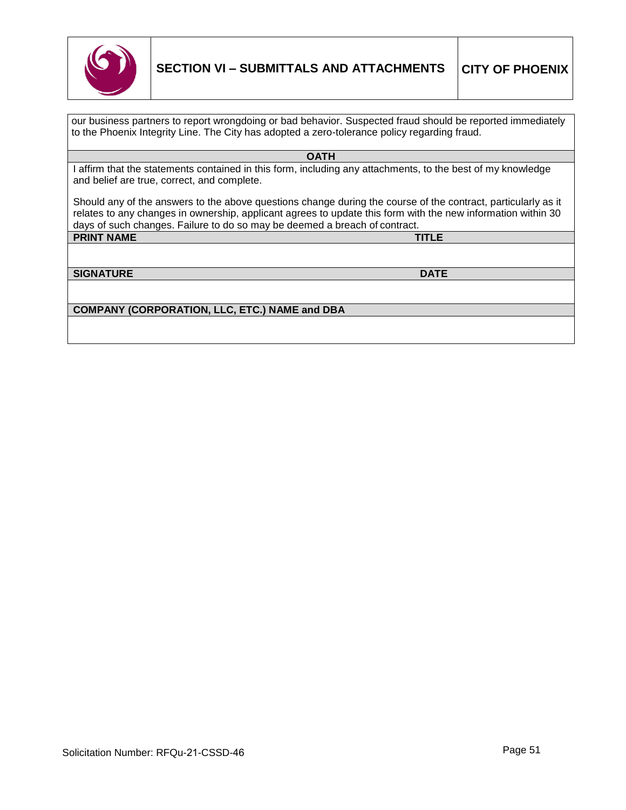

our business partners to report wrongdoing or bad behavior. Suspected fraud should be reported immediately to the Phoenix Integrity Line. The City has adopted a zero-tolerance policy regarding fraud.

**OATH**

I affirm that the statements contained in this form, including any attachments, to the best of my knowledge and belief are true, correct, and complete.

Should any of the answers to the above questions change during the course of the contract, particularly as it relates to any changes in ownership, applicant agrees to update this form with the new information within 30 days of such changes. Failure to do so may be deemed a breach of contract.<br>PRINT NAME

**PRINT NAME** 

**SIGNATURE DATE**

**COMPANY (CORPORATION, LLC, ETC.) NAME and DBA**